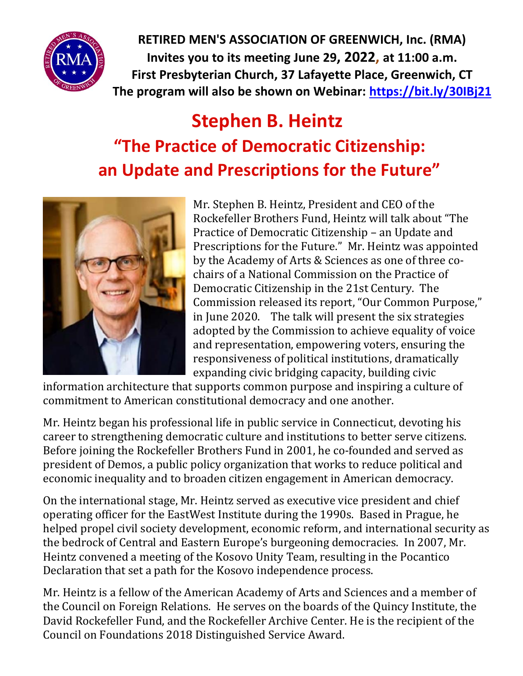

**RETIRED MEN'S ASSOCIATION OF GREENWICH, Inc. (RMA) Invites you to its meeting June 29, 2022, at 11:00 a.m. First Presbyterian Church, 37 Lafayette Place, Greenwich, CT The program will also be shown on Webinar:<https://bit.ly/30IBj21>**

## **Stephen B. Heintz "The Practice of Democratic Citizenship: an Update and Prescriptions for the Future"**



Mr. Stephen B. Heintz, President and CEO of the Rockefeller Brothers Fund, Heintz will talk about "The Practice of Democratic Citizenship – an Update and Prescriptions for the Future." Mr. Heintz was appointed by the Academy of Arts & Sciences as one of three cochairs of a National Commission on the Practice of Democratic Citizenship in the 21st Century. The Commission released its report, "Our Common Purpose," in June 2020. The talk will present the six strategies adopted by the Commission to achieve equality of voice and representation, empowering voters, ensuring the responsiveness of political institutions, dramatically expanding civic bridging capacity, building civic

information architecture that supports common purpose and inspiring a culture of commitment to American constitutional democracy and one another.

Mr. Heintz began his professional life in public service in Connecticut, devoting his career to strengthening democratic culture and institutions to better serve citizens. Before joining the Rockefeller Brothers Fund in 2001, he co-founded and served as president of Demos, a public policy organization that works to reduce political and economic inequality and to broaden citizen engagement in American democracy.

On the international stage, Mr. Heintz served as executive vice president and chief operating officer for the EastWest Institute during the 1990s. Based in Prague, he helped propel civil society development, economic reform, and international security as the bedrock of Central and Eastern Europe's burgeoning democracies. In 2007, Mr. Heintz convened a meeting of the Kosovo Unity Team, resulting in the Pocantico Declaration that set a path for the Kosovo independence process.

Mr. Heintz is a fellow of the American Academy of Arts and Sciences and a member of the Council on Foreign Relations. He serves on the boards of the Quincy Institute, the David Rockefeller Fund, and the Rockefeller Archive Center. He is the recipient of the Council on Foundations 2018 Distinguished Service Award.